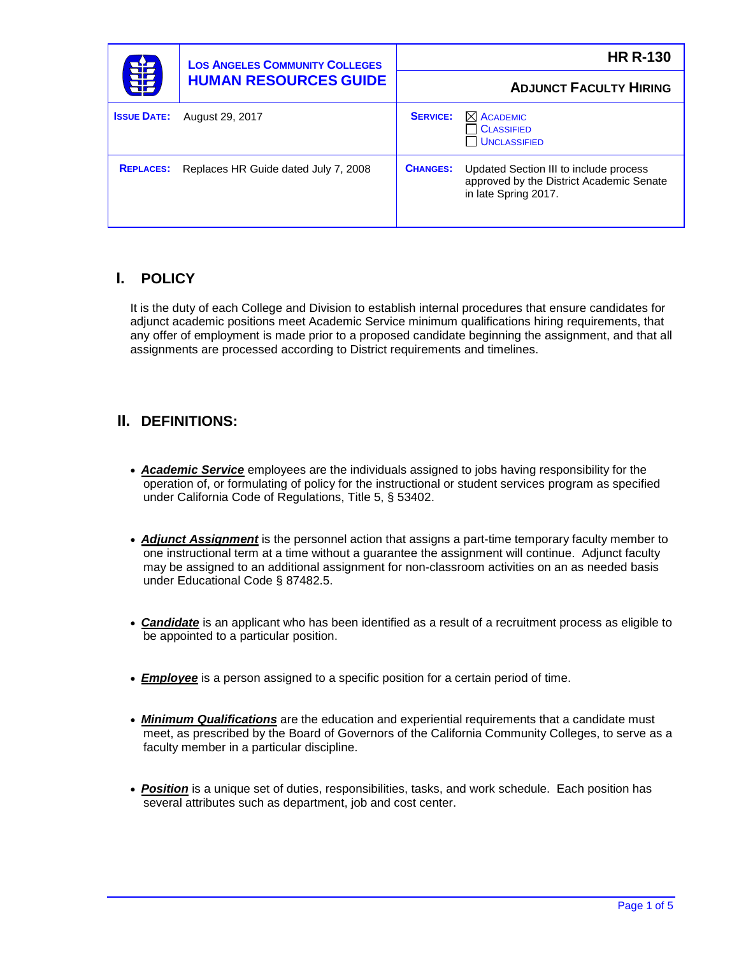| 輩                  | <b>LOS ANGELES COMMUNITY COLLEGES</b><br><b>HUMAN RESOURCES GUIDE</b> | <b>HR R-130</b> |                                                                                                            |
|--------------------|-----------------------------------------------------------------------|-----------------|------------------------------------------------------------------------------------------------------------|
|                    |                                                                       |                 | <b>ADJUNCT FACULTY HIRING</b>                                                                              |
| <b>ISSUE DATE:</b> | August 29, 2017                                                       | <b>SERVICE:</b> | $\boxtimes$ ACADEMIC<br><b>CLASSIFIED</b><br><b>UNCLASSIFIED</b>                                           |
| <b>REPLACES:</b>   | Replaces HR Guide dated July 7, 2008                                  | <b>CHANGES:</b> | Updated Section III to include process<br>approved by the District Academic Senate<br>in late Spring 2017. |

# **I. POLICY**

It is the duty of each College and Division to establish internal procedures that ensure candidates for adjunct academic positions meet Academic Service minimum qualifications hiring requirements, that any offer of employment is made prior to a proposed candidate beginning the assignment, and that all assignments are processed according to District requirements and timelines.

## **II. DEFINITIONS:**

- *Academic Service* employees are the individuals assigned to jobs having responsibility for the operation of, or formulating of policy for the instructional or student services program as specified under California Code of Regulations, Title 5, § 53402.
- *Adjunct Assignment* is the personnel action that assigns a part-time temporary faculty member to one instructional term at a time without a guarantee the assignment will continue. Adjunct faculty may be assigned to an additional assignment for non-classroom activities on an as needed basis under Educational Code § 87482.5.
- *Candidate* is an applicant who has been identified as a result of a recruitment process as eligible to be appointed to a particular position.
- *Employee* is a person assigned to a specific position for a certain period of time.
- *Minimum Qualifications* are the education and experiential requirements that a candidate must meet, as prescribed by the Board of Governors of the California Community Colleges, to serve as a faculty member in a particular discipline.
- *Position* is a unique set of duties, responsibilities, tasks, and work schedule. Each position has several attributes such as department, job and cost center.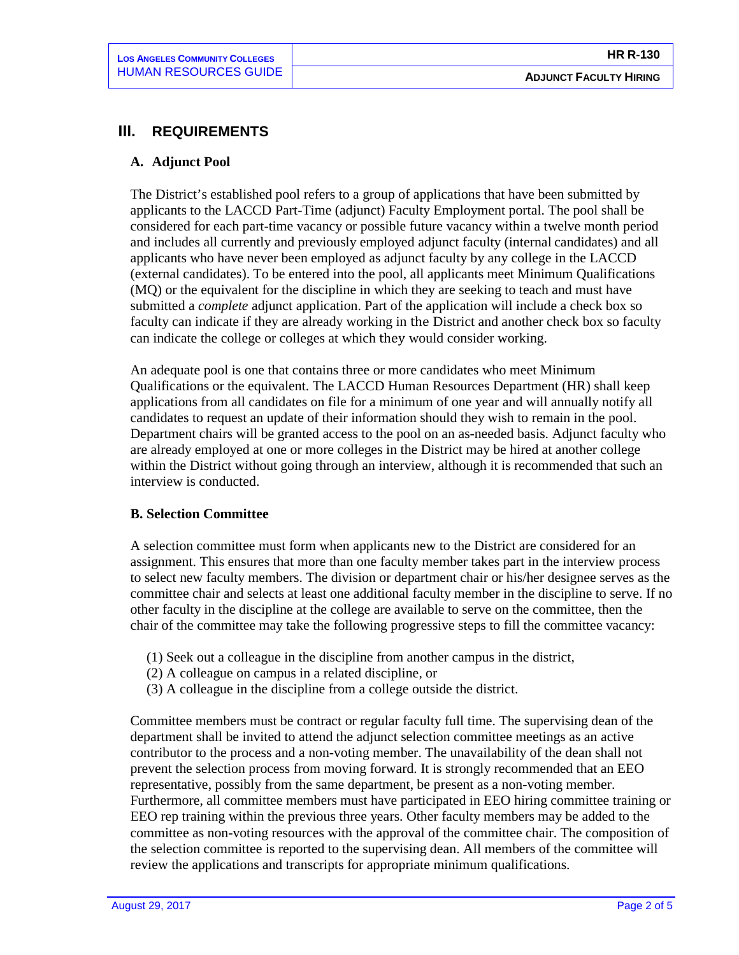## **III. REQUIREMENTS**

### **A. Adjunct Pool**

The District's established pool refers to a group of applications that have been submitted by applicants to the LACCD Part-Time (adjunct) Faculty Employment portal. The pool shall be considered for each part-time vacancy or possible future vacancy within a twelve month period and includes all currently and previously employed adjunct faculty (internal candidates) and all applicants who have never been employed as adjunct faculty by any college in the LACCD (external candidates). To be entered into the pool, all applicants meet Minimum Qualifications (MQ) or the equivalent for the discipline in which they are seeking to teach and must have submitted a *complete* adjunct application. Part of the application will include a check box so faculty can indicate if they are already working in the District and another check box so faculty can indicate the college or colleges at which they would consider working.

An adequate pool is one that contains three or more candidates who meet Minimum Qualifications or the equivalent. The LACCD Human Resources Department (HR) shall keep applications from all candidates on file for a minimum of one year and will annually notify all candidates to request an update of their information should they wish to remain in the pool. Department chairs will be granted access to the pool on an as-needed basis. Adjunct faculty who are already employed at one or more colleges in the District may be hired at another college within the District without going through an interview, although it is recommended that such an interview is conducted.

### **B. Selection Committee**

A selection committee must form when applicants new to the District are considered for an assignment. This ensures that more than one faculty member takes part in the interview process to select new faculty members. The division or department chair or his/her designee serves as the committee chair and selects at least one additional faculty member in the discipline to serve. If no other faculty in the discipline at the college are available to serve on the committee, then the chair of the committee may take the following progressive steps to fill the committee vacancy:

- (1) Seek out a colleague in the discipline from another campus in the district,
- (2) A colleague on campus in a related discipline, or
- (3) A colleague in the discipline from a college outside the district.

Committee members must be contract or regular faculty full time. The supervising dean of the department shall be invited to attend the adjunct selection committee meetings as an active contributor to the process and a non-voting member. The unavailability of the dean shall not prevent the selection process from moving forward. It is strongly recommended that an EEO representative, possibly from the same department, be present as a non-voting member. Furthermore, all committee members must have participated in EEO hiring committee training or EEO rep training within the previous three years. Other faculty members may be added to the committee as non-voting resources with the approval of the committee chair. The composition of the selection committee is reported to the supervising dean. All members of the committee will review the applications and transcripts for appropriate minimum qualifications.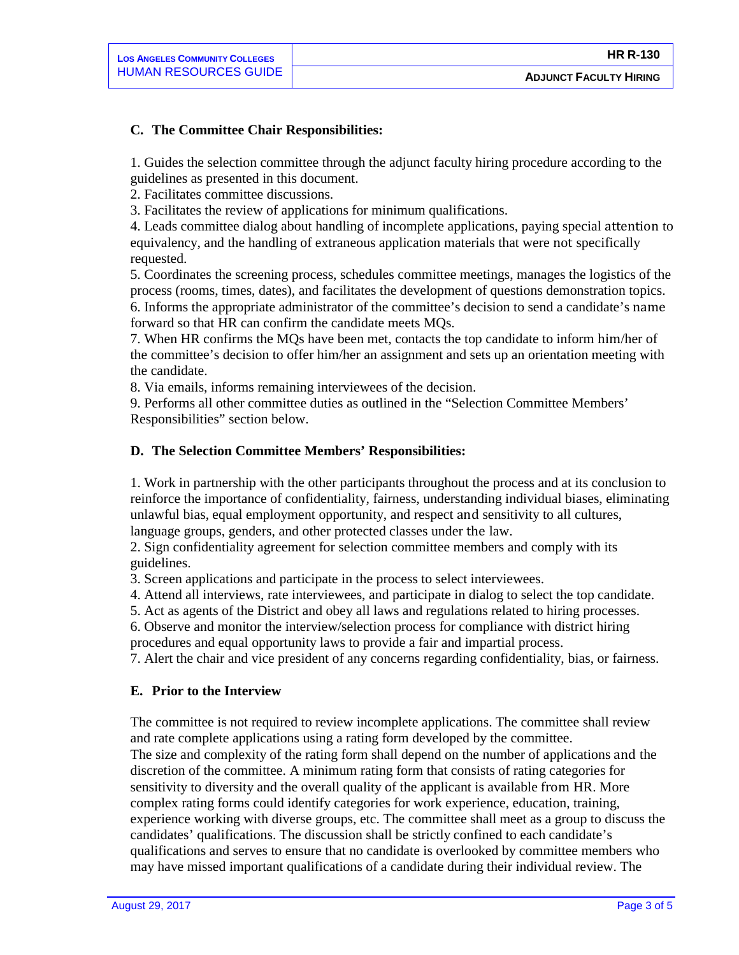## **C. The Committee Chair Responsibilities:**

1. Guides the selection committee through the adjunct faculty hiring procedure according to the guidelines as presented in this document.

2. Facilitates committee discussions.

3. Facilitates the review of applications for minimum qualifications.

4. Leads committee dialog about handling of incomplete applications, paying special attention to equivalency, and the handling of extraneous application materials that were not specifically requested.

5. Coordinates the screening process, schedules committee meetings, manages the logistics of the process (rooms, times, dates), and facilitates the development of questions demonstration topics. 6. Informs the appropriate administrator of the committee's decision to send a candidate's name forward so that HR can confirm the candidate meets MQs.

7. When HR confirms the MQs have been met, contacts the top candidate to inform him/her of the committee's decision to offer him/her an assignment and sets up an orientation meeting with the candidate.

8. Via emails, informs remaining interviewees of the decision.

9. Performs all other committee duties as outlined in the "Selection Committee Members' Responsibilities" section below.

## **D. The Selection Committee Members' Responsibilities:**

1. Work in partnership with the other participants throughout the process and at its conclusion to reinforce the importance of confidentiality, fairness, understanding individual biases, eliminating unlawful bias, equal employment opportunity, and respect and sensitivity to all cultures, language groups, genders, and other protected classes under the law.

2. Sign confidentiality agreement for selection committee members and comply with its guidelines.

3. Screen applications and participate in the process to select interviewees.

4. Attend all interviews, rate interviewees, and participate in dialog to select the top candidate.

5. Act as agents of the District and obey all laws and regulations related to hiring processes.

6. Observe and monitor the interview/selection process for compliance with district hiring procedures and equal opportunity laws to provide a fair and impartial process.

7. Alert the chair and vice president of any concerns regarding confidentiality, bias, or fairness.

### **E. Prior to the Interview**

The committee is not required to review incomplete applications. The committee shall review and rate complete applications using a rating form developed by the committee. The size and complexity of the rating form shall depend on the number of applications and the discretion of the committee. A minimum rating form that consists of rating categories for sensitivity to diversity and the overall quality of the applicant is available from HR. More complex rating forms could identify categories for work experience, education, training, experience working with diverse groups, etc. The committee shall meet as a group to discuss the candidates' qualifications. The discussion shall be strictly confined to each candidate's qualifications and serves to ensure that no candidate is overlooked by committee members who may have missed important qualifications of a candidate during their individual review. The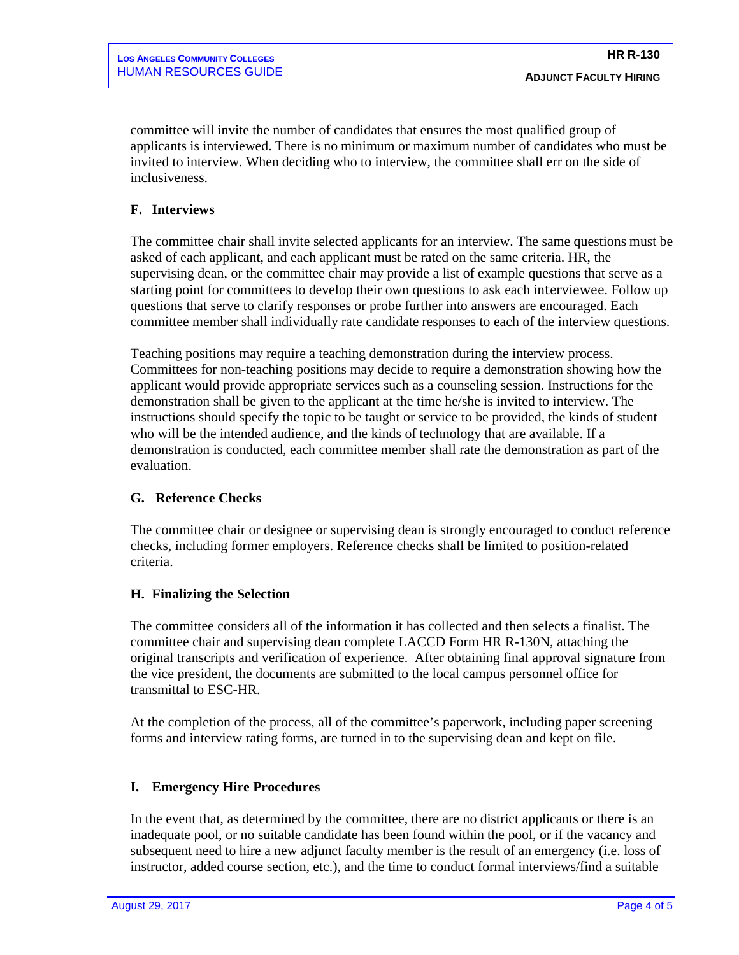committee will invite the number of candidates that ensures the most qualified group of applicants is interviewed. There is no minimum or maximum number of candidates who must be invited to interview. When deciding who to interview, the committee shall err on the side of inclusiveness.

## **F. Interviews**

The committee chair shall invite selected applicants for an interview. The same questions must be asked of each applicant, and each applicant must be rated on the same criteria. HR, the supervising dean, or the committee chair may provide a list of example questions that serve as a starting point for committees to develop their own questions to ask each interviewee. Follow up questions that serve to clarify responses or probe further into answers are encouraged. Each committee member shall individually rate candidate responses to each of the interview questions.

Teaching positions may require a teaching demonstration during the interview process. Committees for non-teaching positions may decide to require a demonstration showing how the applicant would provide appropriate services such as a counseling session. Instructions for the demonstration shall be given to the applicant at the time he/she is invited to interview. The instructions should specify the topic to be taught or service to be provided, the kinds of student who will be the intended audience, and the kinds of technology that are available. If a demonstration is conducted, each committee member shall rate the demonstration as part of the evaluation.

## **G. Reference Checks**

The committee chair or designee or supervising dean is strongly encouraged to conduct reference checks, including former employers. Reference checks shall be limited to position-related criteria.

## **H. Finalizing the Selection**

The committee considers all of the information it has collected and then selects a finalist. The committee chair and supervising dean complete LACCD Form HR R-130N, attaching the original transcripts and verification of experience. After obtaining final approval signature from the vice president, the documents are submitted to the local campus personnel office for transmittal to ESC-HR.

At the completion of the process, all of the committee's paperwork, including paper screening forms and interview rating forms, are turned in to the supervising dean and kept on file.

## **I. Emergency Hire Procedures**

In the event that, as determined by the committee, there are no district applicants or there is an inadequate pool, or no suitable candidate has been found within the pool, or if the vacancy and subsequent need to hire a new adjunct faculty member is the result of an emergency (i.e. loss of instructor, added course section, etc.), and the time to conduct formal interviews/find a suitable